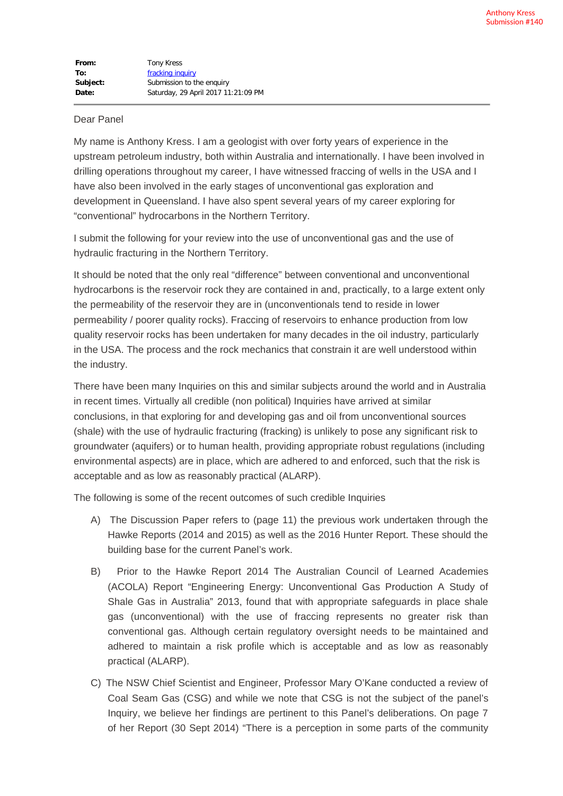## Dear Panel

My name is Anthony Kress. I am a geologist with over forty years of experience in the upstream petroleum industry, both within Australia and internationally. I have been involved in drilling operations throughout my career, I have witnessed fraccing of wells in the USA and I have also been involved in the early stages of unconventional gas exploration and development in Queensland. I have also spent several years of my career exploring for "conventional" hydrocarbons in the Northern Territory.

I submit the following for your review into the use of unconventional gas and the use of hydraulic fracturing in the Northern Territory.

It should be noted that the only real "difference" between conventional and unconventional hydrocarbons is the reservoir rock they are contained in and, practically, to a large extent only the permeability of the reservoir they are in (unconventionals tend to reside in lower permeability / poorer quality rocks). Fraccing of reservoirs to enhance production from low quality reservoir rocks has been undertaken for many decades in the oil industry, particularly in the USA. The process and the rock mechanics that constrain it are well understood within the industry.

There have been many Inquiries on this and similar subjects around the world and in Australia in recent times. Virtually all credible (non political) Inquiries have arrived at similar conclusions, in that exploring for and developing gas and oil from unconventional sources (shale) with the use of hydraulic fracturing (fracking) is unlikely to pose any significant risk to groundwater (aquifers) or to human health, providing appropriate robust regulations (including environmental aspects) are in place, which are adhered to and enforced, such that the risk is acceptable and as low as reasonably practical (ALARP).

The following is some of the recent outcomes of such credible Inquiries

- A) The Discussion Paper refers to (page 11) the previous work undertaken through the Hawke Reports (2014 and 2015) as well as the 2016 Hunter Report. These should the building base for the current Panel's work.
- B) Prior to the Hawke Report 2014 The Australian Council of Learned Academies (ACOLA) Report "Engineering Energy: Unconventional Gas Production A Study of Shale Gas in Australia" 2013, found that with appropriate safeguards in place shale gas (unconventional) with the use of fraccing represents no greater risk than conventional gas. Although certain regulatory oversight needs to be maintained and adhered to maintain a risk profile which is acceptable and as low as reasonably practical (ALARP).
- C) The NSW Chief Scientist and Engineer, Professor Mary O'Kane conducted a review of Coal Seam Gas (CSG) and while we note that CSG is not the subject of the panel's Inquiry, we believe her findings are pertinent to this Panel's deliberations. On page 7 of her Report (30 Sept 2014) "There is a perception in some parts of the community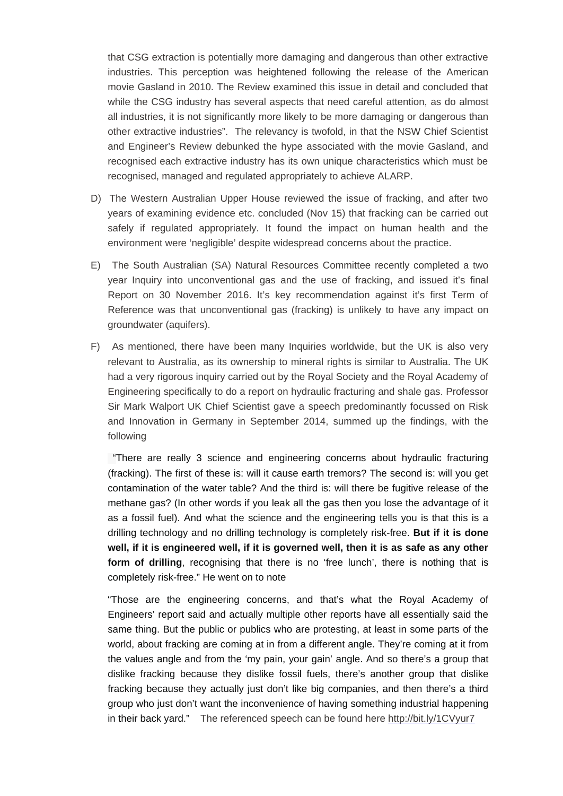that CSG extraction is potentially more damaging and dangerous than other extractive industries. This perception was heightened following the release of the American movie Gasland in 2010. The Review examined this issue in detail and concluded that while the CSG industry has several aspects that need careful attention, as do almost all industries, it is not significantly more likely to be more damaging or dangerous than other extractive industries". The relevancy is twofold, in that the NSW Chief Scientist and Engineer's Review debunked the hype associated with the movie Gasland, and recognised each extractive industry has its own unique characteristics which must be recognised, managed and regulated appropriately to achieve ALARP.

- D) The Western Australian Upper House reviewed the issue of fracking, and after two years of examining evidence etc. concluded (Nov 15) that fracking can be carried out safely if regulated appropriately. It found the impact on human health and the environment were 'negligible' despite widespread concerns about the practice.
- E) The South Australian (SA) Natural Resources Committee recently completed a two year Inquiry into unconventional gas and the use of fracking, and issued it's final Report on 30 November 2016. It's key recommendation against it's first Term of Reference was that unconventional gas (fracking) is unlikely to have any impact on groundwater (aquifers).
- F) As mentioned, there have been many Inquiries worldwide, but the UK is also very relevant to Australia, as its ownership to mineral rights is similar to Australia. The UK had a very rigorous inquiry carried out by the Royal Society and the Royal Academy of Engineering specifically to do a report on hydraulic fracturing and shale gas. Professor Sir Mark Walport UK Chief Scientist gave a speech predominantly focussed on Risk and Innovation in Germany in September 2014, summed up the findings, with the following

"There are really 3 science and engineering concerns about hydraulic fracturing (fracking). The first of these is: will it cause earth tremors? The second is: will you get contamination of the water table? And the third is: will there be fugitive release of the methane gas? (In other words if you leak all the gas then you lose the advantage of it as a fossil fuel). And what the science and the engineering tells you is that this is a drilling technology and no drilling technology is completely risk-free. **But if it is done well, if it is engineered well, if it is governed well, then it is as safe as any other** form of drilling, recognising that there is no 'free lunch', there is nothing that is completely risk-free." He went on to note

"Those are the engineering concerns, and that's what the Royal Academy of Engineers' report said and actually multiple other reports have all essentially said the same thing. But the public or publics who are protesting, at least in some parts of the world, about fracking are coming at in from a different angle. They're coming at it from the values angle and from the 'my pain, your gain' angle. And so there's a group that dislike fracking because they dislike fossil fuels, there's another group that dislike fracking because they actually just don't like big companies, and then there's a third group who just don't want the inconvenience of having something industrial happening in their back yard." The referenced speech can be found here http://bit.ly/1CVyur7